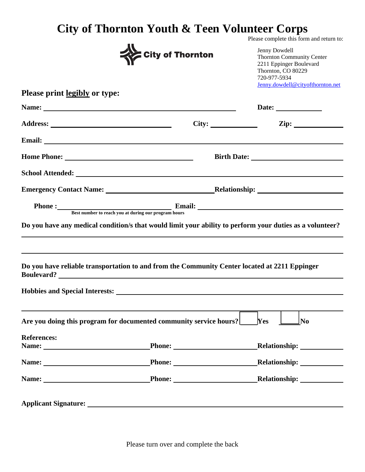## **City of Thornton Youth & Teen Volunteer Corps**  Please complete this form and return to:

|                                      | <b>City of Thornton</b>                                                                                                                                                                                                              | Jenny Dowdell<br><b>Thornton Community Center</b><br>2211 Eppinger Boulevard<br>Thornton, CO 80229<br>720-977-5934<br>Jenny.dowdell@cityofthornton.net |
|--------------------------------------|--------------------------------------------------------------------------------------------------------------------------------------------------------------------------------------------------------------------------------------|--------------------------------------------------------------------------------------------------------------------------------------------------------|
| <b>Please print legibly or type:</b> |                                                                                                                                                                                                                                      |                                                                                                                                                        |
|                                      | Name: 2008. 2008. 2010. 2010. 2010. 2010. 2010. 2010. 2010. 2010. 2010. 2010. 2010. 2010. 2010. 2010. 2010. 20                                                                                                                       | Date:                                                                                                                                                  |
|                                      |                                                                                                                                                                                                                                      | City: $\qquad \qquad \text{Zip:}$                                                                                                                      |
|                                      | Email: <u>Alexander Adam and Alexander Adam and Alexander Adam and Alexander Adam and Alexander Adam and Alexander Adam and Alexander Adam and Alexander Adam and Alexander Adam and Alexander Adam and Alexander Adam and Alexa</u> |                                                                                                                                                        |
|                                      |                                                                                                                                                                                                                                      |                                                                                                                                                        |
|                                      | School Attended: New York School Attended:                                                                                                                                                                                           |                                                                                                                                                        |
|                                      |                                                                                                                                                                                                                                      |                                                                                                                                                        |
|                                      | Phone : Best number to reach you at during our program hours                                                                                                                                                                         |                                                                                                                                                        |
|                                      | Do you have any medical condition/s that would limit your ability to perform your duties as a volunteer?                                                                                                                             |                                                                                                                                                        |
|                                      | Do you have reliable transportation to and from the Community Center located at 2211 Eppinger                                                                                                                                        |                                                                                                                                                        |
|                                      | Hobbies and Special Interests: New York Changes and Special Interests:                                                                                                                                                               |                                                                                                                                                        |
|                                      | Are you doing this program for documented community service hours?                                                                                                                                                                   | Yes<br>No                                                                                                                                              |
| <b>References:</b>                   |                                                                                                                                                                                                                                      |                                                                                                                                                        |
|                                      | Name: Phone: Phone:                                                                                                                                                                                                                  |                                                                                                                                                        |
|                                      |                                                                                                                                                                                                                                      |                                                                                                                                                        |
|                                      |                                                                                                                                                                                                                                      |                                                                                                                                                        |
|                                      |                                                                                                                                                                                                                                      |                                                                                                                                                        |